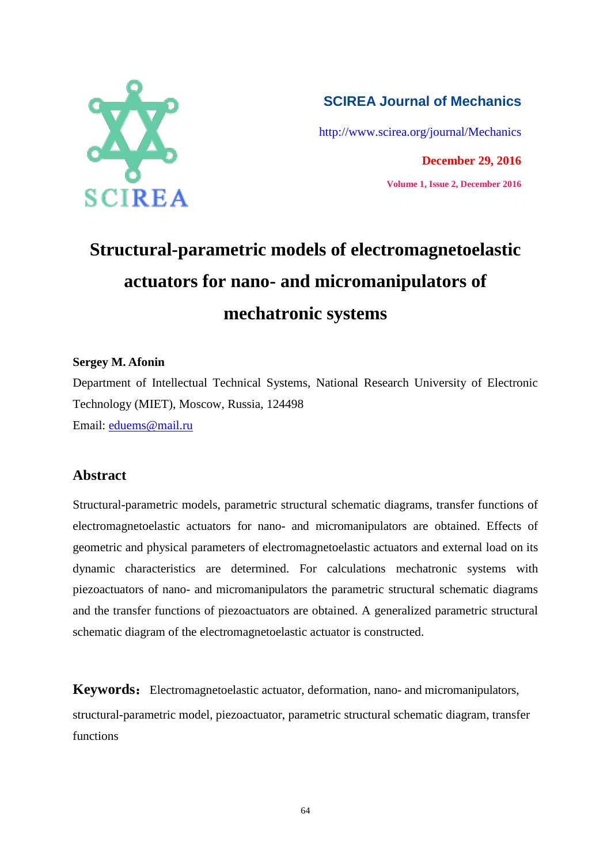

## **SCIREA Journal of Mechanics**

<http://www.scirea.org/journal/Mechanics>

**December 29, 2016 Volume 1, Issue 2, December 2016**

## **Structural-parametric models of electromagnetoelastic actuators for nano- and micromanipulators of mechatronic systems**

## **Sergey M. Afonin**

Department of Intellectual Technical Systems, National Research University of Electronic Technology (MIET), Moscow, Russia, 124498 Email: [eduems@mail.ru](mailto:eduems@mail.ru)

## **Abstract**

Structural-parametric models, parametric structural schematic diagrams, transfer functions of electromagnetoelastic actuators for nano- and micromanipulators are obtained. Effects of geometric and physical parameters of electromagnetoelastic actuators and external load on its dynamic characteristics are determined. For calculations mechatronic systems with piezoactuators of nano- and micromanipulators the parametric structural schematic diagrams and the transfer functions of piezoactuators are obtained. A generalized parametric structural schematic diagram of the electromagnetoelastic actuator is constructed.

**Keywords:** Electromagnetoelastic actuator, deformation, nano- and micromanipulators, structural-parametric model, piezoactuator, parametric structural schematic diagram, transfer functions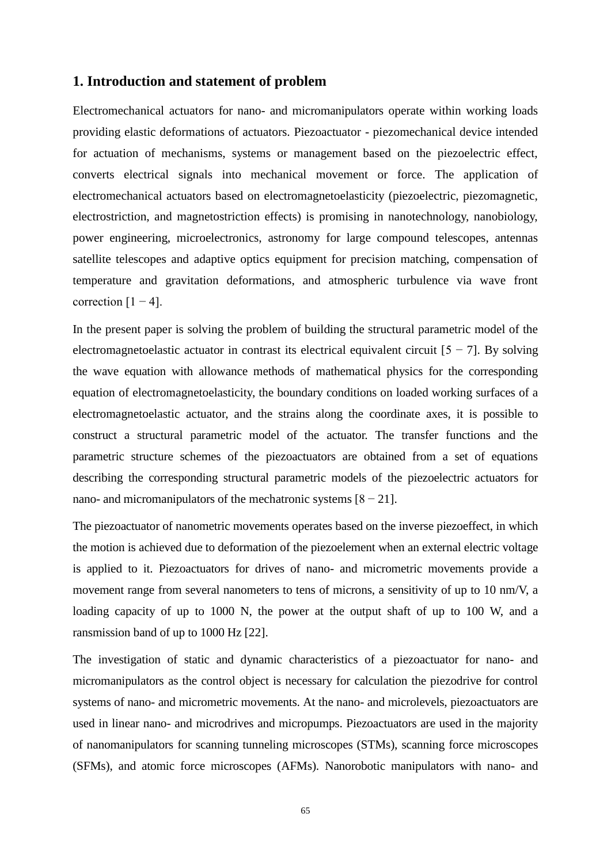#### **1. Introduction and statement of problem**

Electromechanical actuators for nano- and micromanipulators operate within working loads providing elastic deformations of actuators. Piezoactuator - piezomechanical device intended for actuation of mechanisms, systems or management based on the piezoelectric effect, converts electrical signals into mechanical movement or force. The application of electromechanical actuators based on electromagnetoelasticity (piezoelectric, piezomagnetic, electrostriction, and magnetostriction effects) is promising in nanotechnology, nanobiology, power engineering, microelectronics, astronomy for large compound telescopes, antennas satellite telescopes and adaptive optics equipment for precision matching, compensation of temperature and gravitation deformations, and atmospheric turbulence via wave front correction  $[1 - 4]$ .

In the present paper is solving the problem of building the structural parametric model of the electromagnetoelastic actuator in contrast its electrical equivalent circuit  $[5 - 7]$ . By solving the wave equation with allowance methods of mathematical physics for the corresponding equation of electromagnetoelasticity, the boundary conditions on loaded working surfaces of a electromagnetoelastic actuator, and the strains along the coordinate axes, it is possible to construct a structural parametric model of the actuator. The transfer functions and the parametric structure schemes of the piezoactuators are obtained from a set of equations describing the corresponding structural parametric models of the piezoelectric actuators for nano- and micromanipulators of the mechatronic systems  $[8 - 21]$ .

The piezoactuator of nanometric movements operates based on the inverse piezoeffect, in which the motion is achieved due to deformation of the piezoelement when an external electric voltage is applied to it. Piezoactuators for drives of nano- and micrometric movements provide a movement range from several nanometers to tens of microns, a sensitivity of up to 10 nm/V, a loading capacity of up to 1000 N, the power at the output shaft of up to 100 W, and a ransmission band of up to 1000 Hz [22].

The investigation of static and dynamic characteristics of a piezoactuator for nano- and micromanipulators as the control object is necessary for calculation the piezodrive for control systems of nano- and micrometric movements. At the nano- and microlevels, piezoactuators are used in linear nano- and microdrives and micropumps. Piezoactuators are used in the majority of nanomanipulators for scanning tunneling microscopes (STMs), scanning force microscopes (SFMs), and atomic force microscopes (AFMs). Nanorobotic manipulators with nano- and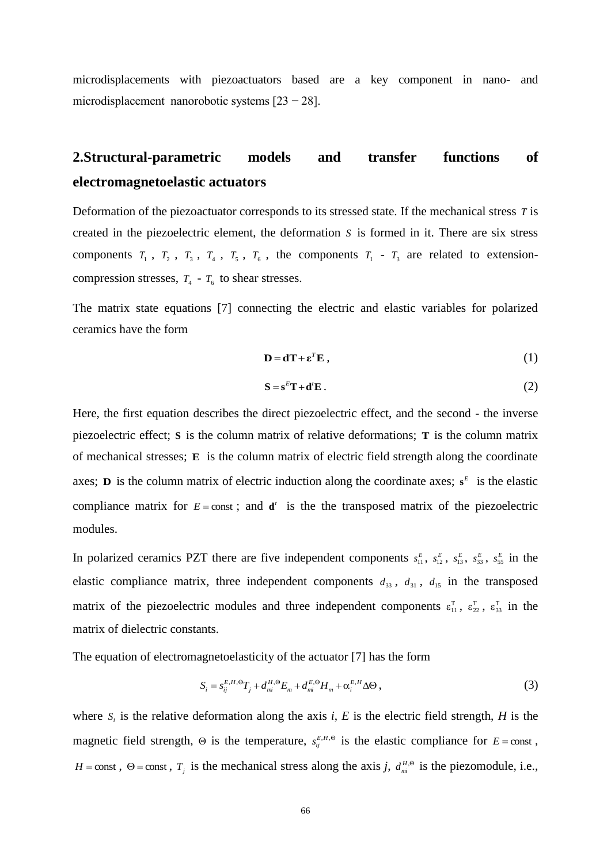microdisplacements with piezoactuators based are a key component in nano- and microdisplacement nanorobotic systems [23 − 28].

## **2.Structural-parametric models and transfer functions of electromagnetoelastic actuators**

Deformation of the piezoactuator corresponds to its stressed state. If the mechanical stress *T* is created in the piezoelectric element, the deformation *S* is formed in it. There are six stress components  $T_1$ ,  $T_2$ ,  $T_3$ ,  $T_4$ ,  $T_5$ ,  $T_6$ , the components  $T_1 - T_3$  are related to extensioncompression stresses,  $T_4 - T_6$  to shear stresses.

The matrix state equations [7] connecting the electric and elastic variables for polarized ceramics have the form

$$
\mathbf{D} = \mathbf{d}\mathbf{T} + \boldsymbol{\varepsilon}^T \mathbf{E} \,, \tag{1}
$$

$$
\mathbf{S} = \mathbf{s}^E \mathbf{T} + \mathbf{d}^t \mathbf{E} \,. \tag{2}
$$

Here, the first equation describes the direct piezoelectric effect, and the second - the inverse piezoelectric effect; **S** is the column matrix of relative deformations; **T** is the column matrix of mechanical stresses; **E** is the column matrix of electric field strength along the coordinate axes; **D** is the column matrix of electric induction along the coordinate axes;  $s^E$  is the elastic compliance matrix for  $E = const$ ; and  $\mathbf{d}^t$  is the the transposed matrix of the piezoelectric modules.

In polarized ceramics PZT there are five independent components  $s_{11}^E$ ,  $s_{12}^E$ ,  $s_{13}^E$ ,  $s_{33}^E$ ,  $s_{55}^E$  in the elastic compliance matrix, three independent components  $d_{33}$ ,  $d_{31}$ ,  $d_{15}$  in the transposed matrix of the piezoelectric modules and three independent components  $\varepsilon_{11}^T$ ,  $\varepsilon_{22}^T$ ,  $\varepsilon_{33}^T$  in the matrix of dielectric constants.

The equation of electromagnetoelasticity of the actuator [7] has the form

$$
S_i = s_{ij}^{E, H, \Theta} T_j + d_m^{H, \Theta} E_m + d_{mi}^{E, \Theta} H_m + \alpha_i^{E, H} \Delta \Theta ,
$$
\n<sup>(3)</sup>

where  $S_i$  is the relative deformation along the axis *i*, *E* is the electric field strength, *H* is the magnetic field strength,  $\Theta$  is the temperature,  $s_{ij}^{E,H,\Theta}$  is the elastic compliance for  $E = const$ , *H* = const,  $\theta$  = const,  $T_j$  is the mechanical stress along the axis *j*,  $d_{mi}^{H, \Theta}$  is the piezomodule, i.e.,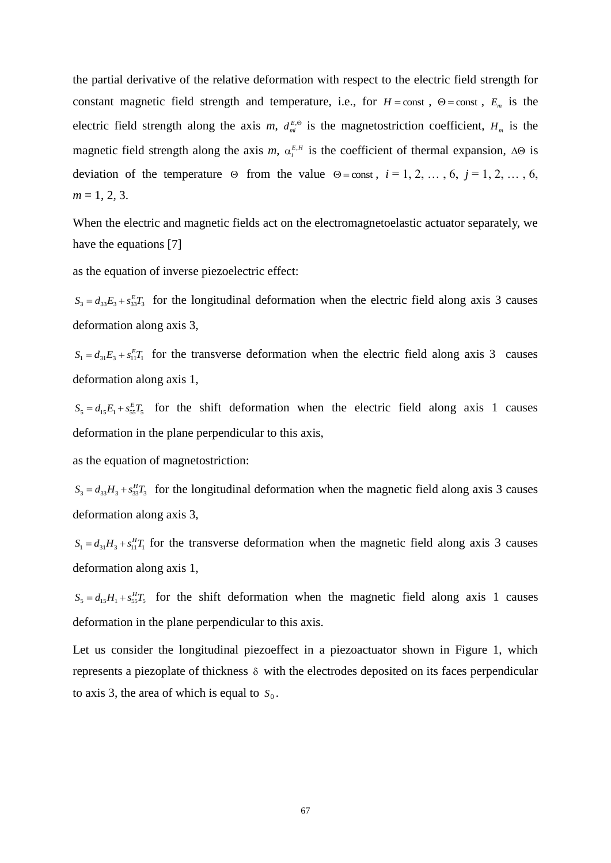the partial derivative of the relative deformation with respect to the electric field strength for constant magnetic field strength and temperature, i.e., for  $H = const$ ,  $\Theta = const$ ,  $E_m$  is the electric field strength along the axis *m*,  $d_{mi}^{E, \Theta}$  is the magnetostriction coefficient,  $H_m$  is the magnetic field strength along the axis *m*,  $\alpha_i^{E,H}$  is the coefficient of thermal expansion,  $\Delta\Theta$  is deviation of the temperature  $\Theta$  from the value  $\Theta$ =const,  $i = 1, 2, ..., 6, j = 1, 2, ..., 6$ ,  $m = 1, 2, 3$ .

When the electric and magnetic fields act on the electromagnetoelastic actuator separately, we have the equations [7]

as the equation of inverse piezoelectric effect:

 $S_3 = d_{33}E_3 + s_{33}E_3$  for the longitudinal deformation when the electric field along axis 3 causes deformation along axis 3,

 $S_1 = d_{31}E_3 + s_{11}^{E}T_1$  for the transverse deformation when the electric field along axis 3 causes deformation along axis 1,

 $S_5 = d_{15}E_1 + s_{55}E_5$  for the shift deformation when the electric field along axis 1 causes deformation in the plane perpendicular to this axis,

as the equation of magnetostriction:

 $S_3 = d_{33}H_3 + s_{33}^H T_3$  for the longitudinal deformation when the magnetic field along axis 3 causes deformation along axis 3,

 $S_1 = d_{31}H_3 + s_{11}^H T_1$  for the transverse deformation when the magnetic field along axis 3 causes deformation along axis 1,

 $S_5 = d_{15}H_1 + s_{55}^H T_5$  for the shift deformation when the magnetic field along axis 1 causes deformation in the plane perpendicular to this axis.

Let us consider the longitudinal piezoeffect in a piezoactuator shown in Figure 1, which represents a piezoplate of thickness  $\delta$  with the electrodes deposited on its faces perpendicular to axis 3, the area of which is equal to  $S_0$ .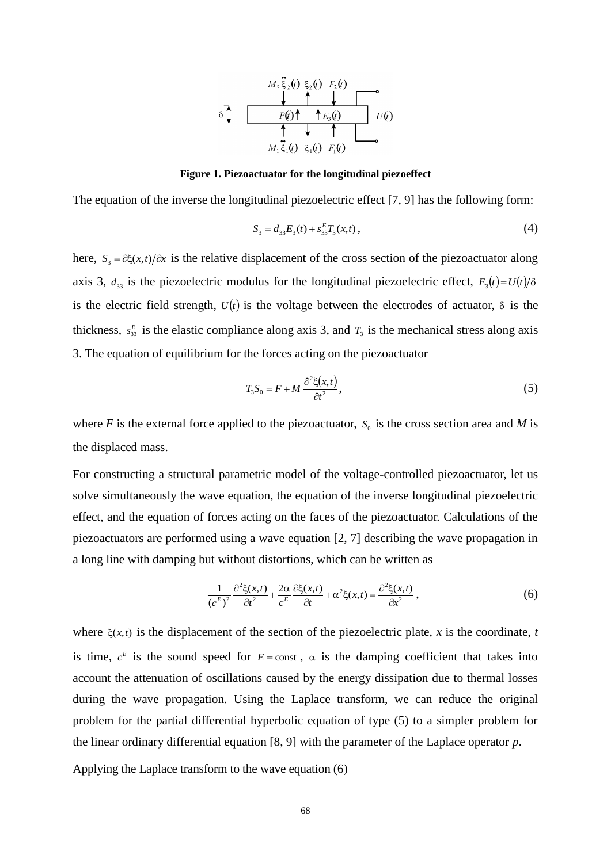

**Figure 1. Piezoactuator for the longitudinal piezoeffect**

The equation of the inverse the longitudinal piezoelectric effect [7, 9] has the following form:

$$
S_3 = d_{33}E_3(t) + s_{33}^E T_3(x,t), \qquad (4)
$$

here,  $S_3 = \partial \xi(x,t) / \partial x$  is the relative displacement of the cross section of the piezoactuator along axis 3,  $d_{33}$  is the piezoelectric modulus for the longitudinal piezoelectric effect,  $E_3(t) = U(t)/\delta$ is the electric field strength,  $U(t)$  is the voltage between the electrodes of actuator,  $\delta$  is the thickness,  $s_{33}^E$  is the elastic compliance along axis 3, and  $T_3$  is the mechanical stress along axis 3. The equation of equilibrium for the forces acting on the piezoactuator

$$
T_3 S_0 = F + M \frac{\partial^2 \xi(x, t)}{\partial t^2},\tag{5}
$$

where  $F$  is the external force applied to the piezoactuator,  $S_0$  is the cross section area and  $M$  is the displaced mass.

For constructing a structural parametric model of the voltage-controlled piezoactuator, let us solve simultaneously the wave equation, the equation of the inverse longitudinal piezoelectric effect, and the equation of forces acting on the faces of the piezoactuator. Calculations of the piezoactuators are performed using a wave equation [2, 7] describing the wave propagation in a long line with damping but without distortions, which can be written as

$$
\frac{1}{(c^E)^2} \frac{\partial^2 \xi(x,t)}{\partial t^2} + \frac{2\alpha}{c^E} \frac{\partial \xi(x,t)}{\partial t} + \alpha^2 \xi(x,t) = \frac{\partial^2 \xi(x,t)}{\partial x^2},
$$
(6)

where  $\xi(x,t)$  is the displacement of the section of the piezoelectric plate, *x* is the coordinate, *t* is time,  $c^E$  is the sound speed for  $E = const$ ,  $\alpha$  is the damping coefficient that takes into account the attenuation of oscillations caused by the energy dissipation due to thermal losses during the wave propagation. Using the Laplace transform, we can reduce the original problem for the partial differential hyperbolic equation of type (5) to a simpler problem for the linear ordinary differential equation [8, 9] with the parameter of the Laplace operator *p*.

Applying the Laplace transform to the wave equation (6)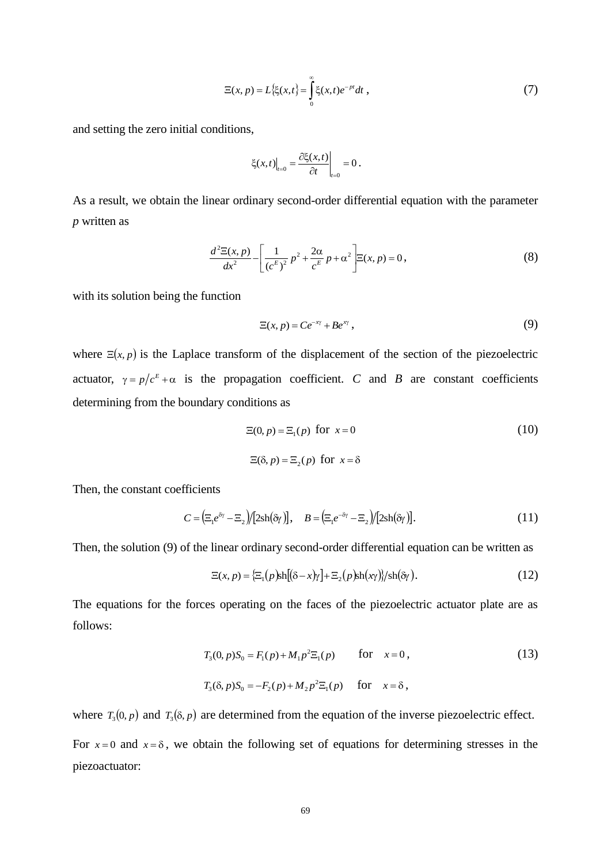$$
\Xi(x, p) = L\{\xi(x, t\} = \int_{0}^{\infty} \xi(x, t)e^{-pt}dt,
$$
\n(7)

and setting the zero initial conditions,

$$
\xi(x,t)\Big|_{t=0} = \frac{\partial \xi(x,t)}{\partial t}\Big|_{t=0} = 0.
$$

As a result, we obtain the linear ordinary second-order differential equation with the parameter *p* written as

$$
\frac{d^2\Xi(x,p)}{dx^2} - \left[\frac{1}{(c^E)^2}p^2 + \frac{2\alpha}{c^E}p + \alpha^2\right] \Xi(x,p) = 0,
$$
\n(8)

with its solution being the function

$$
\Xi(x,p) = Ce^{-x\gamma} + Be^{x\gamma},\tag{9}
$$

 $\left\{\xi(x,t)\right\} =$ <br>  $\left\{\xi(x,t)\right\} =$ <br>  $\left\{\xi(x,t)\right\} = \frac{2\xi}{e^{E}}$ <br>  $\left\{\xi(x,t)\right\} = \frac{1}{e^{E}}e^{E}$ <br>  $\left\{\xi(x,t)\right\} = \frac{1}{e^{E}}e^{E}$ <br>  $\left\{\xi(x,t)\right\} = \frac{1}{e^{E}}e^{E}$ <br>  $\left\{\xi(x,t)\right\} = \frac{1}{e^{E}}e^{E}$ <br>  $\left\{\xi(x,t)\right\} = \frac{1}{e^{E}}e^{E}$ <br>  $\left\{\xi(x,t)\right\} = \frac{1$ where  $\Xi(x, p)$  is the Laplace transform of the displacement of the section of the piezoelectric actuator,  $\gamma = p/c^E + \alpha$  is the propagation coefficient. *C* and *B* are constant coefficients determining from the boundary conditions as

$$
\Xi(0, p) = \Xi_1(p) \text{ for } x = 0
$$
\n
$$
\Xi(\delta, p) = \Xi_2(p) \text{ for } x = \delta
$$
\n(10)

Then, the constant coefficients

$$
C = \left(\Xi_1 e^{\delta \gamma} - \Xi_2\right) / \left[2 \mathrm{sh}(\delta \gamma)\right], \quad B = \left(\Xi_1 e^{-\delta \gamma} - \Xi_2\right) / \left[2 \mathrm{sh}(\delta \gamma)\right].\tag{11}
$$

Then, the solution (9) of the linear ordinary second-order differential equation can be written as

$$
\Xi(x,p) = {\Xi_1(p)sh[(\delta - x)\gamma] + \Xi_2(p)sh(x\gamma)} / sh(\delta\gamma).
$$
 (12)

The equations for the forces operating on the faces of the piezoelectric actuator plate are as follows:

$$
T_3(0, p)S_0 = F_1(p) + M_1 p^2 \Xi_1(p) \qquad \text{for} \quad x = 0,
$$
 (13)

$$
T_3(\delta, p)S_0 = -F_2(p) + M_2 p^2 \Xi_1(p) \quad \text{for} \quad x = \delta,
$$

where  $T_3(0, p)$  and  $T_3(\delta, p)$  are determined from the equation of the inverse piezoelectric effect.

For  $x=0$  and  $x=\delta$ , we obtain the following set of equations for determining stresses in the piezoactuator: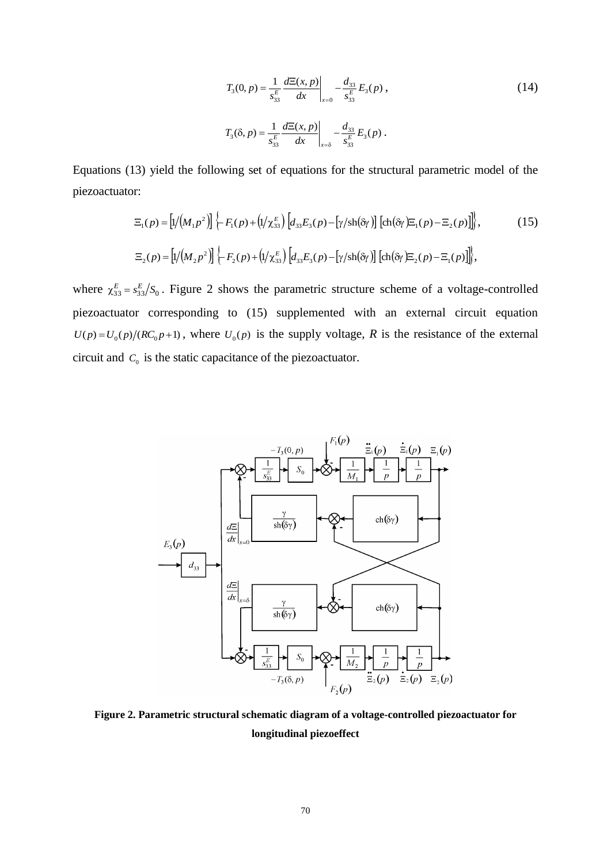$$
T_3(0, p) = \frac{1}{s_{33}^E} \frac{d\Xi(x, p)}{dx} \bigg|_{x=0} - \frac{d_{33}}{s_{33}^E} E_3(p) ,
$$
  
\n
$$
T_3(\delta, p) = \frac{1}{s_{33}^E} \frac{d\Xi(x, p)}{dx} \bigg|_{x=\delta} - \frac{d_{33}}{s_{33}^E} E_3(p) .
$$
\n(14)

Equations (13) yield the following set of equations for the structural parametric model of the piezoactuator:

$$
\begin{split} \n\Xi_{1}(p) &= \left[ \frac{1}{M_{1}p^{2}} \right] \left\{ -F_{1}(p) + \left( \frac{1}{\lambda_{33}} \right) \left[ d_{33} E_{3}(p) - \left[ \frac{\gamma}{\sin(\delta \gamma)} \right] \left[ \frac{\cosh(\delta \gamma)}{\Xi_{1}(p) - \Xi_{2}(p)} \right] \right] \right\}, \n\end{split} \tag{15}
$$
\n
$$
\Xi_{2}(p) = \left[ \frac{1}{M_{2}p^{2}} \right] \left\{ -F_{2}(p) + \left( \frac{1}{\lambda_{33}} \right) \left[ d_{33} E_{3}(p) - \left[ \frac{\gamma}{\sin(\delta \gamma)} \right] \left[ \frac{\cosh(\delta \gamma)}{\Xi_{2}(p) - \Xi_{1}(p)} \right] \right] \right\},
$$

where  $\chi_{33}^E = s_{33}^E/S_0$ . Figure 2 shows the parametric structure scheme of a voltage-controlled piezoactuator corresponding to (15) supplemented with an external circuit equation  $U(p) = U_0(p)/(RC_0p+1)$ , where  $U_0(p)$  is the supply voltage, *R* is the resistance of the external circuit and  $C_0$  is the static capacitance of the piezoactuator.



**Figure 2. Parametric structural schematic diagram of a voltage-controlled piezoactuator for longitudinal piezoeffect**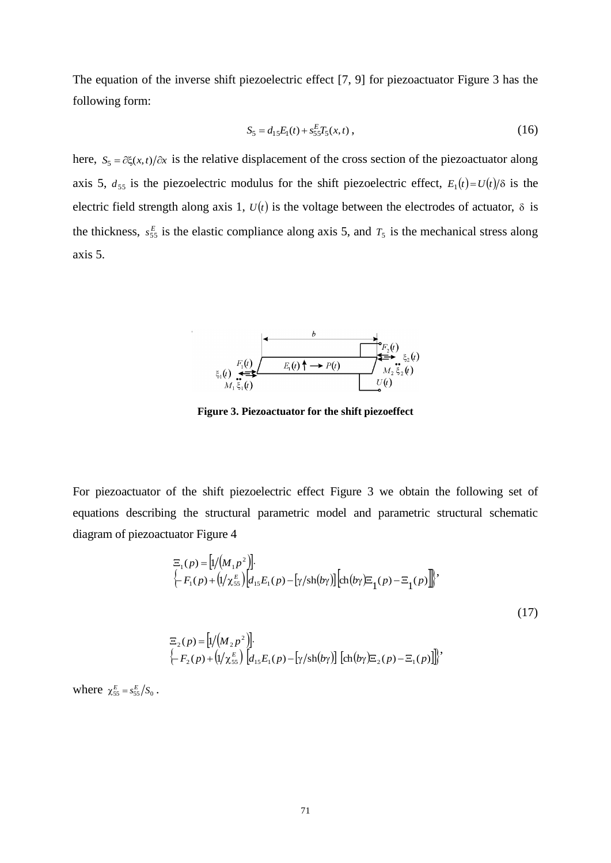The equation of the inverse shift piezoelectric effect [7, 9] for piezoactuator Figure 3 has the following form:

$$
S_5 = d_{15}E_1(t) + s_{55}E_5(x, t) , \qquad (16)
$$

here,  $S_5 = \partial \xi(x, t) / \partial x$  is the relative displacement of the cross section of the piezoactuator along axis 5,  $d_{55}$  is the piezoelectric modulus for the shift piezoelectric effect,  $E_1(t) = U(t)/\delta$  is the electric field strength along axis 1,  $U(t)$  is the voltage between the electrodes of actuator,  $\delta$  is the thickness,  $s_{55}^E$  is the elastic compliance along axis 5, and  $T_5$  is the mechanical stress along axis 5.



**Figure 3. Piezoactuator for the shift piezoeffect**

For piezoactuator of the shift piezoelectric effect Figure 3 we obtain the following set of equations describing the structural parametric model and parametric structural schematic diagram of piezoactuator Figure 4

$$
\Xi_{1}(p) = [1/(M_{1}p^{2})].
$$
\n
$$
\left\{-F_{1}(p) + (1/\chi_{55}^{E})[d_{15}E_{1}(p) - [\gamma/\text{sh}(b\gamma)][\text{ch}(b\gamma)\Xi_{1}(p) - \Xi_{1}(p)]\right\},\right\}
$$
\n
$$
\Xi_{2}(p) = [1/(M_{2}p^{2})].
$$
\n
$$
\left\{-F_{2}(p) + (1/\chi_{55}^{E})[d_{15}E_{1}(p) - [\gamma/\text{sh}(b\gamma)][\text{ch}(b\gamma)\Xi_{2}(p) - \Xi_{1}(p)]\right\},
$$
\n(17)

where  $\chi_{55}^E = s_{55}^E / S_0$ .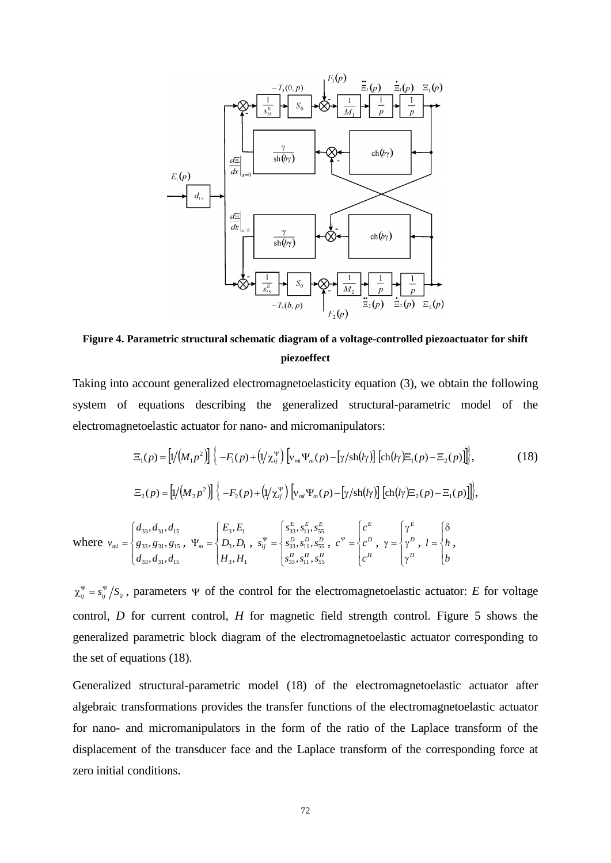

**Figure 4. Parametric structural schematic diagram of a voltage-controlled piezoactuator for shift piezoeffect**

Taking into account generalized electromagnetoelasticity equation (3), we obtain the following system of equations describing the generalized structural-parametric model of the electromagnetoelastic actuator for nano- and micromanipulators:

$$
\Xi_{1}(p) = \left[1/(M_{1}p^{2})\right] \left\{-F_{1}(p) + \left(1/\chi_{ij}^{\Psi}\right) \left[v_{mi}\Psi_{m}(p) - \left[\gamma/\text{sh}(l\gamma)\right] \left[\text{ch}(l\gamma)\Xi_{1}(p) - \Xi_{2}(p)\right]\right]\right\},\tag{18}
$$
\n
$$
\Xi_{2}(p) = \left[1/(M_{2}p^{2})\right] \left\{-F_{2}(p) + \left(1/\chi_{ij}^{\Psi}\right) \left[v_{mi}\Psi_{m}(p) - \left[\gamma/\text{sh}(l\gamma)\right] \left[\text{ch}(l\gamma)\Xi_{2}(p) - \Xi_{1}(p)\right]\right]\right\},\tag{18}
$$
\nwhere  $v_{mi} = \begin{cases} d_{33}, d_{31}, d_{15} \\ g_{33}, g_{31}, g_{15}, \Psi_{m} = \begin{cases} E_{3}, E_{1} \\ D_{3}, D_{1} \\ B_{33}, E_{31}, S_{31} \end{cases}, s_{ij}^{\Psi} = \begin{cases} s_{33}^{E}, s_{11}^{E}, s_{55}^{E} \\ s_{33}^{B}, s_{11}^{B}, s_{55}^{B}, c^{\Psi} = \begin{cases} c^{E} \\ c^{D} \\ c^{A} \end{cases}, \gamma = \begin{cases} \gamma^{E} \\ \gamma^{D} \\ \gamma^{H} \end{cases}, l = \begin{cases} \delta \\ h \\ h \end{cases}$ 

 $\chi_{ij}^{\Psi} = s_{ij}^{\Psi}/S_0$ , parameters  $\Psi$  of the control for the electromagnetoelastic actuator: *E* for voltage control, *D* for current control, *H* for magnetic field strength control. Figure 5 shows the generalized parametric block diagram of the electromagnetoelastic actuator corresponding to the set of equations (18).

Generalized structural-parametric model (18) of the electromagnetoelastic actuator after algebraic transformations provides the transfer functions of the electromagnetoelastic actuator for nano- and micromanipulators in the form of the ratio of the Laplace transform of the displacement of the transducer face and the Laplace transform of the corresponding force at zero initial conditions.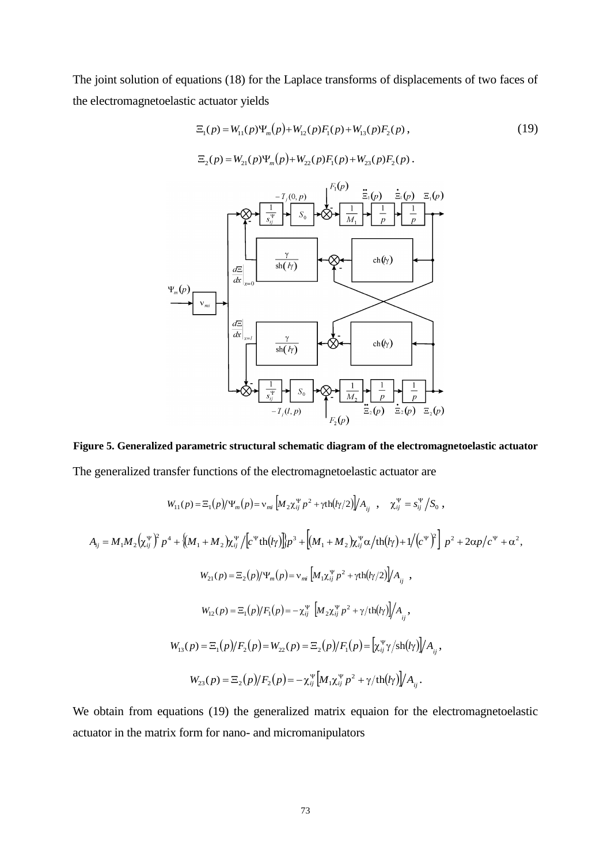The joint solution of equations (18) for the Laplace transforms of displacements of two faces of the electromagnetoelastic actuator yields

 $\Xi_2(p) = W_{21}(p)\Psi_m(p) + W_{22}(p)F_1(p) + W_{23}(p)F_2(p)$ .

$$
\Xi_1(p) = W_{11}(p)\Psi_m(p) + W_{12}(p)F_1(p) + W_{13}(p)F_2(p) ,
$$
\n(19)

$$
\Psi_{m}(p)
$$
\n
$$
\Psi_{m}(p)
$$
\n
$$
\Psi_{m}(p)
$$
\n
$$
\Psi_{m}(p)
$$
\n
$$
\Psi_{m}(p)
$$
\n
$$
\Psi_{m}(p)
$$
\n
$$
\Psi_{m}(p)
$$
\n
$$
\Psi_{m}(p)
$$
\n
$$
\Psi_{m}(p)
$$
\n
$$
\Psi_{m}(p)
$$
\n
$$
\Psi_{m}(p)
$$
\n
$$
\Psi_{m}(p)
$$
\n
$$
\Psi_{m}(p)
$$
\n
$$
\Psi_{m}(p)
$$
\n
$$
\Psi_{m}(p)
$$
\n
$$
\Psi_{m}(p)
$$
\n
$$
\Psi_{m}(p)
$$
\n
$$
\Psi_{m}(p)
$$
\n
$$
\Psi_{m}(p)
$$
\n
$$
\Psi_{m}(p)
$$
\n
$$
\Psi_{m}(p)
$$
\n
$$
\Psi_{m}(p)
$$
\n
$$
\Psi_{m}(p)
$$
\n
$$
\Psi_{m}(p)
$$
\n
$$
\Psi_{m}(p)
$$
\n
$$
\Psi_{m}(p)
$$
\n
$$
\Psi_{m}(p)
$$
\n
$$
\Psi_{m}(p)
$$
\n
$$
\Psi_{m}(p)
$$
\n
$$
\Psi_{m}(p)
$$
\n
$$
\Psi_{m}(p)
$$
\n
$$
\Psi_{m}(p)
$$
\n
$$
\Psi_{m}(p)
$$
\n
$$
\Psi_{m}(p)
$$
\n
$$
\Psi_{m}(p)
$$
\n
$$
\Psi_{m}(p)
$$
\n
$$
\Psi_{m}(p)
$$
\n
$$
\Psi_{m}(p)
$$
\n
$$
\Psi_{m}(p)
$$
\n
$$
\Psi_{m}(p)
$$
\n
$$
\Psi_{m}(p)
$$
\n
$$
\Psi_{m}(p)
$$
\n
$$
\Psi_{m}(p)
$$
\n
$$
\Psi_{m}(p)
$$
\n
$$
\Psi_{m}(p)
$$
\n
$$
\Psi_{m}(p)
$$
\n
$$
\Psi_{m}(p)
$$
\n
$$
\Psi_{m}(p)
$$
\n
$$
\Psi_{m}(p)
$$
\n
$$
\Psi_{m}(p)
$$
\n
$$
\Psi_{m}(p)
$$
\n

# **Figure 5. Generalized parametric structural schematic diagram of the electromagnetoelastic actuator**

The generalized transfer functions of the electromagnetoelastic actuator are

$$
W_{11}(p) = \Xi_1(p)/\Psi_m(p) = v_{mi} \left[ M_2 \chi_{ij}^{\Psi} p^2 + \gamma \text{th}(l\gamma/2) \right] / A_{ij} , \quad \chi_{ij}^{\Psi} = s_{ij}^{\Psi} / S_0 ,
$$
  
\n
$$
A_{ij} = M_1 M_2 \left( \chi_{ij}^{\Psi} \right)^2 p^4 + \left\{ (M_1 + M_2) \chi_{ij}^{\Psi} / \left[ c^{\Psi} \text{th}(l\gamma) \right] \right\} p^3 + \left[ (M_1 + M_2) \chi_{ij}^{\Psi} \alpha / \text{th}(l\gamma) + 1 / \left( c^{\Psi} \right)^2 \right] p^2 + 2\alpha p / c^{\Psi} + \alpha^2,
$$
  
\n
$$
W_{21}(p) = \Xi_2(p)/\Psi_m(p) = v_{mi} \left[ M_1 \chi_{ij}^{\Psi} p^2 + \gamma \text{th}(l\gamma/2) \right] / A_{ij} ,
$$
  
\n
$$
W_{12}(p) = \Xi_1(p) / F_1(p) = -\chi_{ij}^{\Psi} \left[ M_2 \chi_{ij}^{\Psi} p^2 + \gamma / \text{th}(l\gamma) \right] / A_{ij} ,
$$
  
\n
$$
W_{13}(p) = \Xi_1(p) / F_2(p) = W_{22}(p) = \Xi_2(p) / F_1(p) = \left[ \chi_{ij}^{\Psi} \gamma / \text{sh}(l\gamma) \right] / A_{ij} ,
$$
  
\n
$$
W_{23}(p) = \Xi_2(p) / F_2(p) = -\chi_{ij}^{\Psi} \left[ M_1 \chi_{ij}^{\Psi} p^2 + \gamma / \text{th}(l\gamma) \right] / A_{ij} .
$$

We obtain from equations (19) the generalized matrix equaion for the electromagnetoelastic actuator in the matrix form for nano- and micromanipulators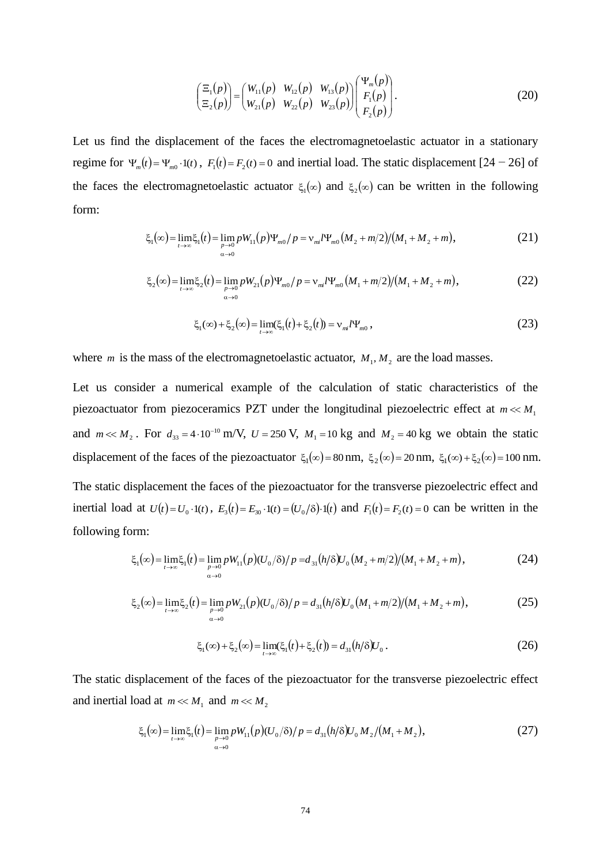$$
\begin{pmatrix} \Xi_1(p) \\ \Xi_2(p) \end{pmatrix} = \begin{pmatrix} W_{11}(p) & W_{12}(p) & W_{13}(p) \\ W_{21}(p) & W_{22}(p) & W_{23}(p) \end{pmatrix} \begin{pmatrix} \Psi_m(p) \\ F_1(p) \\ F_2(p) \end{pmatrix} . \tag{20}
$$

Let us find the displacement of the faces the electromagnetoelastic actuator in a stationary regime for  $\Psi_m(t) = \Psi_{m0} \cdot 1(t)$ ,  $F_1(t) = F_2(t) = 0$  and inertial load. The static displacement [24 – 26] of the faces the electromagnetoelastic actuator  $\xi_1(\infty)$  and  $\xi_2(\infty)$  can be written in the following form:

$$
\xi_1(\infty) = \lim_{t \to \infty} \xi_1(t) = \lim_{p \to 0} p W_{11}(p) \Psi_{m0}/p = \nu_{mi} l \Psi_{m0} (M_2 + m/2)/(M_1 + M_2 + m), \tag{21}
$$

$$
\xi_2(\infty) = \lim_{t \to \infty} \xi_2(t) = \lim_{\substack{p \to 0 \\ \alpha \to 0}} p W_{21}(p) \Psi_{m0}/p = v_{mi} \Psi_{m0}(M_1 + m/2)/(M_1 + M_2 + m), \tag{22}
$$

$$
\xi_1(\infty) + \xi_2(\infty) = \lim_{t \to \infty} (\xi_1(t) + \xi_2(t)) = v_{mi} l \Psi_{m0}, \qquad (23)
$$

where *m* is the mass of the electromagnetoelastic actuator,  $M_1, M_2$  are the load masses.

(*p*)<br>  $(p)$ <br>  $(p)$ <br>  $(p)$ <br>  $(p)$ <br>  $\neq$ <br>  $\begin{cases} W_{11}(p) & W_{12}(p) \\ W_{21}(p) & W_{22}(p) \end{cases}$ <br>
at of the faces the<br>  $\begin{cases} V_1(t) = F_2(t) = 0 \text{ and in} \\ V_2(t) = F_2(t) = 0 \text{ and in} \end{cases}$ <br>  $= \lim_{p \to 0} p W_{11}(p) \Psi_{m0}/p = 0$ <br>  $= \lim_{p \to 0} p W_{21}(p) \Psi_{m0}/p = 0$ Let us consider a numerical example of the calculation of static characteristics of the piezoactuator from piezoceramics PZT under the longitudinal piezoelectric effect at  $m \ll M_1$ and  $m \ll M_2$ . For  $d_{33} = 4 \cdot 10^{-10}$  m/V,  $U = 250$  V,  $M_1 = 10$  kg and  $M_2 = 40$  kg we obtain the static displacement of the faces of the piezoactuator  $\xi_1(\infty) = 80 \text{ nm}$ ,  $\xi_2(\infty) = 20 \text{ nm}$ ,  $\xi_1(\infty) + \xi_2(\infty) = 100 \text{ nm}$ . The static displacement the faces of the piezoactuator for the transverse piezoelectric effect and inertial load at  $U(t) = U_0 \cdot 1(t)$ ,  $E_3(t) = E_{30} \cdot 1(t) = (U_0/8) \cdot 1(t)$  and  $F_1(t) = F_2(t) = 0$  can be written in the following form:

$$
\xi_1(\infty) = \lim_{t \to \infty} \xi_1(t) = \lim_{\substack{p \to 0 \\ \alpha \to 0}} p W_{11}(p) (U_0/\delta) / p = d_{31}(h/\delta) U_0 (M_2 + m/2) / (M_1 + M_2 + m), \tag{24}
$$

$$
\xi_2(\infty) = \lim_{t \to \infty} \xi_2(t) = \lim_{\substack{p \to 0 \\ \alpha \to 0}} p W_{21}(p) (U_0/\delta) / p = d_{31}(h/\delta) U_0 (M_1 + m/2) / (M_1 + M_2 + m), \tag{25}
$$

$$
\xi_1(\infty) + \xi_2(\infty) = \lim_{t \to \infty} (\xi_1(t) + \xi_2(t)) = d_{31}(h/\delta)U_0.
$$
 (26)

The static displacement of the faces of the piezoactuator for the transverse piezoelectric effect and inertial load at  $m \ll M_1$  and  $m \ll M_2$ 

$$
\xi_1(\infty) = \lim_{t \to \infty} \xi_1(t) = \lim_{p \to 0} p W_{11}(p) (U_0/\delta) / p = d_{31}(h/\delta) U_0 M_2 / (M_1 + M_2),
$$
\n(27)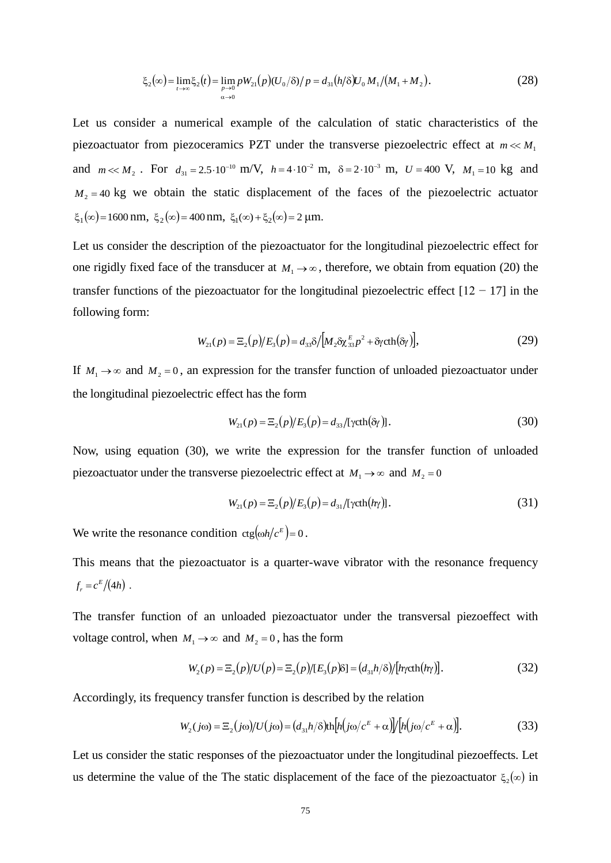$$
\xi_2(\infty) = \lim_{t \to \infty} \xi_2(t) = \lim_{\substack{p \to 0 \\ \alpha \to 0}} p W_{21}(p) (U_0/\delta) / p = d_{31}(h/\delta) U_0 M_1 / (M_1 + M_2).
$$
 (28)

 $[\langle \alpha \rangle = \lim_{\epsilon \to 0} pV_{\alpha}(p) |U_{\alpha}/\delta \rangle \rho = d_{\alpha} [h/\delta] \mathcal{V}_{\alpha} M_{\gamma}/[M_{\gamma} + M_{\gamma}]$ <br>  $r$  a numerical example of the calculation of static<br>
om piezoceramics PZT under the transverse piezoelector<br>  $d_{\gamma} = 2.5 \cdot 10^{-10}$  m/V,  $h = 4 \$ Let us consider a numerical example of the calculation of static characteristics of the piezoactuator from piezoceramics PZT under the transverse piezoelectric effect at  $m \ll M_1$ and  $m \ll M_2$ . For  $d_{31} = 2.5 \cdot 10^{-10}$  m/V,  $h = 4 \cdot 10^{-2}$  m,  $\delta = 2 \cdot 10^{-3}$  m,  $U = 400$  V,  $M_1 = 10$  kg and  $M_2$  = 40 kg we obtain the static displacement of the faces of the piezoelectric actuator  $\xi_1(\infty) = 1600 \text{ nm}, \xi_2(\infty) = 400 \text{ nm}, \xi_1(\infty) + \xi_2(\infty) = 2 \text{ µm}.$ 

Let us consider the description of the piezoactuator for the longitudinal piezoelectric effect for one rigidly fixed face of the transducer at  $M_1 \rightarrow \infty$ , therefore, we obtain from equation (20) the transfer functions of the piezoactuator for the longitudinal piezoelectric effect  $[12 - 17]$  in the following form:

$$
W_{21}(p) = \mathbb{E}_{2}(p)/E_{3}(p) = d_{33}\delta/[M_{2}\delta\chi_{33}^{E}p^{2} + \delta\gamma \text{cth}(\delta\gamma)],
$$
\n(29)

If  $M_1 \rightarrow \infty$  and  $M_2 = 0$ , an expression for the transfer function of unloaded piezoactuator under the longitudinal piezoelectric effect has the form

$$
W_{21}(p) = \mathbb{E}_2(p)/E_3(p) = d_{33}/[\text{ycth}(\delta y)].
$$
\n(30)

Now, using equation (30), we write the expression for the transfer function of unloaded piezoactuator under the transverse piezoelectric effect at  $M_1 \rightarrow \infty$  and  $M_2 = 0$ 

$$
W_{21}(p) = \mathbb{E}_2(p)/E_3(p) = d_{31}/[\gamma \text{cth}(h\gamma)].
$$
\n(31)

We write the resonance condition  $\text{ctg}(\omega h/c^E) = 0$ .

This means that the piezoactuator is a quarter-wave vibrator with the resonance frequency  $f_r = c^E/(4h)$ .

The transfer function of an unloaded piezoactuator under the transversal piezoeffect with voltage control, when  $M_1 \rightarrow \infty$  and  $M_2 = 0$ , has the form

$$
W_2(p) = \Xi_2(p)/U(p) = \Xi_2(p)/[E_3(p)\delta] = (d_{31}h/\delta)/[h\gamma \text{cth}(h\gamma)].
$$
\n(32)

Accordingly, its frequency transfer function is described by the relation

$$
W_2(j\omega) = \Xi_2(j\omega)/U(j\omega) = (d_{31}h/\delta)\text{th}[h(j\omega/c^E + \alpha)]/[h(j\omega/c^E + \alpha)].
$$
\n(33)

Let us consider the static responses of the piezoactuator under the longitudinal piezoeffects. Let us determine the value of the The static displacement of the face of the piezoactuator  $\xi_2(\infty)$  in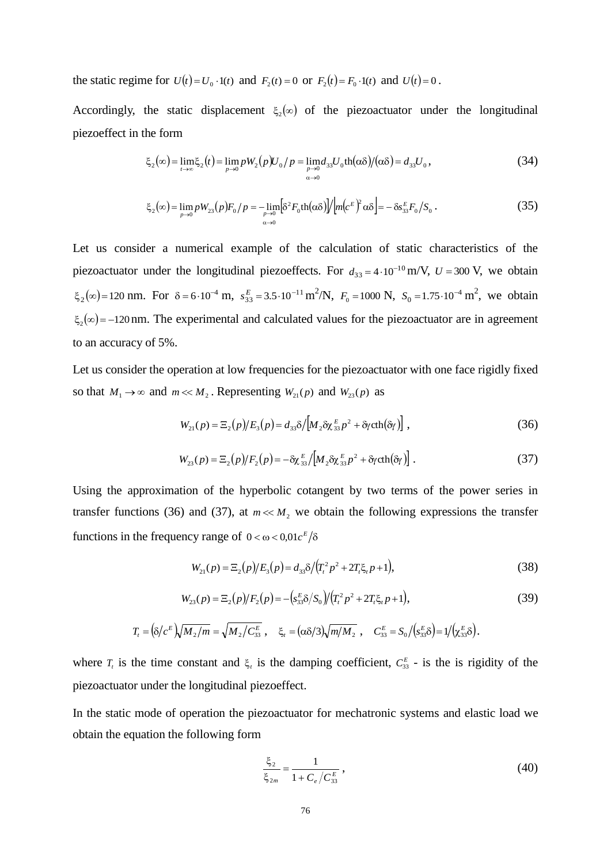the static regime for  $U(t) = U_0 \cdot 1(t)$  and  $F_2(t) = 0$  or  $F_2(t) = F_0 \cdot 1(t)$  and  $U(t) = 0$ .

Accordingly, the static displacement  $\xi_2(\infty)$  of the piezoactuator under the longitudinal piezoeffect in the form

$$
\xi_2(\infty) = \lim_{t \to \infty} \xi_2(t) = \lim_{p \to 0} p W_2(p) U_0 / p = \lim_{p \to 0} d_{33} U_0 \text{th}(\alpha \delta) / (\alpha \delta) = d_{33} U_0,
$$
\n(34)

$$
\xi_2(\infty) = \lim_{p \to 0} p W_{23}(p) F_0 / p = -\lim_{p \to 0} \left[ \delta^2 F_0 \text{th}(\alpha \delta) \right] / \left[ m (c^E)^2 \alpha \delta \right] = - \delta s_{33}^E F_0 / S_0 \,. \tag{35}
$$

Let us consider a numerical example of the calculation of static characteristics of the piezoactuator under the longitudinal piezoeffects. For  $d_{33} = 4 \cdot 10^{-10}$  m/V,  $U = 300$  V, we obtain  $\xi_2(\infty) = 120$  nm. For  $\delta = 6.10^{-4}$  m,  $s_{33}^E = 3.5.10^{-11}$  m<sup>2</sup>/N,  $F_0 = 1000$  N,  $S_0 = 1.75.10^{-4}$  m<sup>2</sup>, we obtain  $\xi_2(\infty) = -120$  nm. The experimental and calculated values for the piezoactuator are in agreement to an accuracy of 5%.

Let us consider the operation at low frequencies for the piezoactuator with one face rigidly fixed so that  $M_1 \to \infty$  and  $m \ll M_2$ . Representing  $W_{21}(p)$  and  $W_{23}(p)$  as

$$
W_{21}(p) = \Xi_2(p)/E_3(p) = d_{33}\delta/[M_2 \delta \chi_{33}^E p^2 + \delta \gamma \text{cth}(\delta \gamma)],
$$
\n(36)

$$
W_{23}(p) = \mathbb{E}_2(p)/F_2(p) = -\delta \chi_{33}^E / [M_2 \delta \chi_{33}^E p^2 + \delta \gamma \text{cth}(\delta \gamma)].
$$
\n(37)

Using the approximation of the hyperbolic cotangent by two terms of the power series in transfer functions (36) and (37), at  $m \ll M_2$  we obtain the following expressions the transfer functions in the frequency range of  $0 < \omega < 0.01c^E/\delta$ 

$$
W_{21}(p) = \Xi_2(p)/E_3(p) = d_{33}\delta/(T_t^2p^2 + 2T_t\xi_t p + 1),
$$
\n(38)

$$
W_{23}(p) = \Xi_2(p)/F_2(p) = -\left(s_{33}^E \delta / S_0\right) / \left(T_t^2 p^2 + 2T_t \xi_t p + 1\right),\tag{39}
$$

$$
T_t = \left(\frac{\delta}{c^E}\right)\sqrt{M_2/m} = \sqrt{M_2/C_{33}^E}, \quad \xi_t = \left(\frac{\alpha\delta}{3}\right)\sqrt{m/M_2}, \quad C_{33}^E = S_0 / \left(\frac{S_3}{33}\delta\right) = \frac{1}{\left(\frac{S_3}{33}\delta\right)}.
$$

where  $T<sub>t</sub>$  is the time constant and  $\xi<sub>t</sub>$  is the damping coefficient,  $C_{33}^E$  - is the is rigidity of the piezoactuator under the longitudinal piezoeffect.

In the static mode of operation the piezoactuator for mechatronic systems and elastic load we obtain the equation the following form

$$
\frac{\xi_2}{\xi_{2m}} = \frac{1}{1 + C_e / C_{33}^E},
$$
\n(40)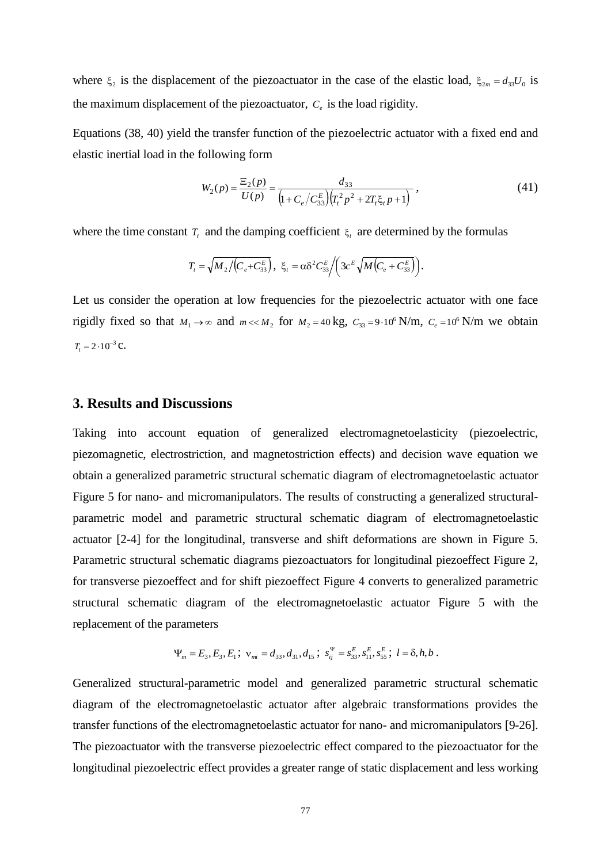where  $\xi_2$  is the displacement of the piezoactuator in the case of the elastic load,  $\xi_{2m} = d_{33}U_0$  is the maximum displacement of the piezoactuator,  $C_e$  is the load rigidity.

Equations (38, 40) yield the transfer function of the piezoelectric actuator with a fixed end and elastic inertial load in the following form

$$
W_2(p) = \frac{\Xi_2(p)}{U(p)} = \frac{d_{33}}{\left(1 + C_e/C_{33}^E\right)\left(T_t^2 p^2 + 2T_t \xi_t p + 1\right)}\,,\tag{41}
$$

where the time constant  $T_t$  and the damping coefficient  $\xi_t$  are determined by the formulas

$$
T_{t} = \sqrt{M_{2}/(C_{e}+C_{33}^{E})}, \ \ \xi_{t} = \alpha \delta^{2} C_{33}^{E} / \left(3c^{E} \sqrt{M(C_{e}+C_{33}^{E})}\right).
$$

Let us consider the operation at low frequencies for the piezoelectric actuator with one face rigidly fixed so that  $M_1 \rightarrow \infty$  and  $m \ll M_2$  for  $M_2 = 40 \text{ kg}$ ,  $C_{33} = 9.10^6 \text{ N/m}$ ,  $C_e = 10^6 \text{ N/m}$  we obtain  $T_t = 2 \cdot 10^{-3} \text{ C}.$ 

#### **3. Results and Discussions**

Taking into account equation of generalized electromagnetoelasticity (piezoelectric, piezomagnetic, electrostriction, and magnetostriction effects) and decision wave equation we obtain a generalized parametric structural schematic diagram of electromagnetoelastic actuator Figure 5 for nano- and micromanipulators. The results of constructing a generalized structuralparametric model and parametric structural schematic diagram of electromagnetoelastic actuator [2-4] for the longitudinal, transverse and shift deformations are shown in Figure 5. Parametric structural schematic diagrams piezoactuators for longitudinal piezoeffect Figure 2, for transverse piezoeffect and for shift piezoeffect Figure 4 converts to generalized parametric structural schematic diagram of the electromagnetoelastic actuator Figure 5 with the replacement of the parameters

$$
\Psi_m = E_3, E_3, E_1; \ \mathbf{v}_{mi} = d_{33}, d_{31}, d_{15}; \ \mathbf{s}_{ij}^{\Psi} = \mathbf{s}_{33}^E, \mathbf{s}_{11}^E, \mathbf{s}_{55}^E; \ l = \delta, h, b \ .
$$

Generalized structural-parametric model and generalized parametric structural schematic diagram of the electromagnetoelastic actuator after algebraic transformations provides the transfer functions of the electromagnetoelastic actuator for nano- and micromanipulators [9-26]. The piezoactuator with the transverse piezoelectric effect compared to the piezoactuator for the longitudinal piezoelectric effect provides a greater range of static displacement and less working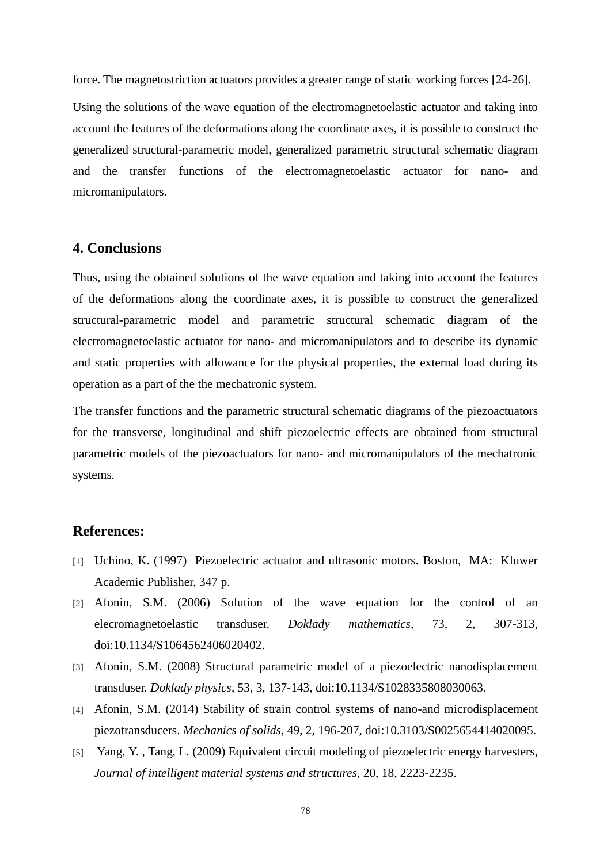force. The magnetostriction actuators provides a greater range of static working forces [24-26].

Using the solutions of the wave equation of the electromagnetoelastic actuator and taking into account the features of the deformations along the coordinate axes, it is possible to construct the generalized structural-parametric model, generalized parametric structural schematic diagram and the transfer functions of the electromagnetoelastic actuator for nano- and micromanipulators.

## **4. Conclusions**

Thus, using the obtained solutions of the wave equation and taking into account the features of the deformations along the coordinate axes, it is possible to construct the generalized structural-parametric model and parametric structural schematic diagram of the electromagnetoelastic actuator for nano- and micromanipulators and to describe its dynamic and static properties with allowance for the physical properties, the external load during its operation as a part of the the mechatronic system.

The transfer functions and the parametric structural schematic diagrams of the piezoactuators for the transverse, longitudinal and shift piezoelectric effects are obtained from structural parametric models of the piezoactuators for nano- and micromanipulators of the mechatronic systems.

### **References:**

- [1] Uchino, K. (1997) Piezoelectric actuator and ultrasonic motors. Boston, MA: Kluwer Academic Publisher, 347 p.
- [2] Afonin, S.M. (2006) Solution of the wave equation for the control of an elecromagnetoelastic transduser. *Doklady mathematics*, 73, 2, 307-313, doi:10.1134/S1064562406020402.
- [3] Afonin, S.M. (2008) Structural parametric model of a piezoelectric nanodisplacement transduser. *Doklady physics*, 53, 3, 137-143, doi:10.1134/S1028335808030063.
- [4] Afonin, S.M. (2014) Stability of strain control systems of nano-and microdisplacement piezotransducers. *Mechanics of solids*, 49, 2, 196-207, doi:10.3103/S0025654414020095.
- [5] Yang, Y., Tang, L. (2009) Equivalent circuit modeling of piezoelectric energy harvesters, *Journal of intelligent material systems and structures*, 20, 18, 2223-2235.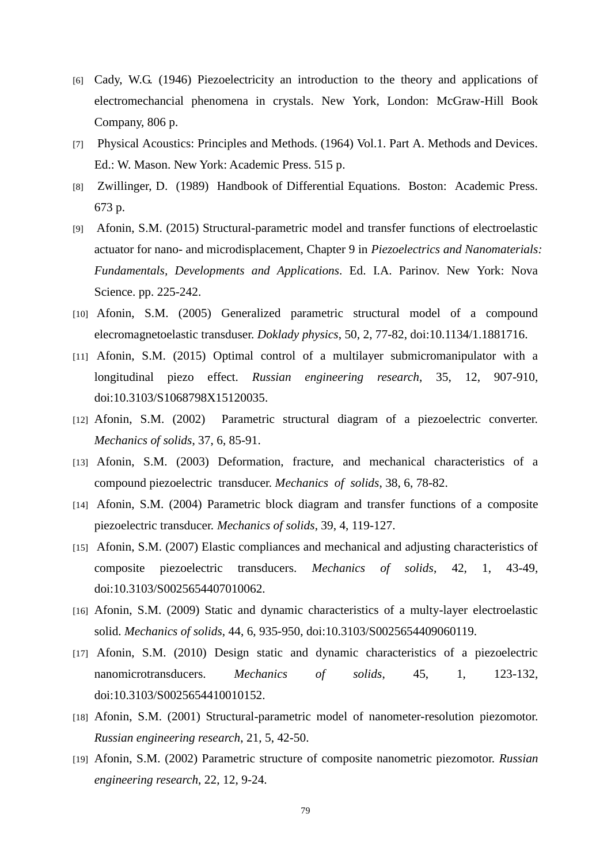- [6] Cady, W.G. (1946) Piezoelectricity an introduction to the theory and applications of electromechancial phenomena in crystals. New York, London: McGraw-Hill Book Company, 806 p.
- [7] Physical Acoustics: Principles and Methods. (1964) Vol.1. Part A. Methods and Devices. Ed.: W. Mason. New York: Academic Press. 515 p.
- [8] Zwillinger, D. (1989) Handbook of Differential Equations. Boston: Academic Press. 673 p.
- [9] Afonin, S.M. (2015) Structural-parametric model and transfer functions of electroelastic actuator for nano- and microdisplacement, Chapter 9 in *Piezoelectrics and Nanomaterials: Fundamentals, Developments and Applications*. Ed. I.A. Parinov. New York: Nova Science. pp. 225-242.
- [10] Afonin, S.M. (2005) Generalized parametric structural model of a compound elecromagnetoelastic transduser. *Doklady physics*, 50, 2, 77-82, doi:10.1134/1.1881716.
- [11] Afonin, S.M. (2015) Optimal control of a multilayer submicromanipulator with a longitudinal piezo effect. *Russian engineering research*, 35, 12, 907-910, doi:10.3103/S1068798X15120035.
- [12] Afonin, S.M. (2002) Parametric structural diagram of a piezoelectric converter. *Mechanics of solids*, 37, 6, 85-91.
- [13] Afonin, S.M. (2003) Deformation, fracture, and mechanical characteristics of a compound piezoelectric transducer. *Mechanics of solids*, 38, 6, 78-82.
- [14] Afonin, S.M. (2004) Parametric block diagram and transfer functions of a composite piezoelectric transducer. *Mechanics of solids*, 39, 4, 119-127.
- [15] Afonin, S.M. (2007) Elastic compliances and mechanical and adjusting characteristics of composite piezoelectric transducers. *Mechanics of solids*, 42, 1, 43-49, doi:10.3103/S0025654407010062.
- [16] Afonin, S.M. (2009) Static and dynamic characteristics of a multy-layer electroelastic solid. *Mechanics of solids*, 44, 6, 935-950, doi:10.3103/S0025654409060119.
- [17] Afonin, S.M. (2010) Design static and dynamic characteristics of a piezoelectric nanomicrotransducers. *Mechanics of solids*, 45, 1, 123-132, doi:10.3103/S0025654410010152.
- [18] Afonin, S.M. (2001) Structural-parametric model of nanometer-resolution piezomotor. *Russian engineering research*, 21, 5, 42-50.
- [19] Afonin, S.M. (2002) Parametric structure of composite nanometric piezomotor. *Russian engineering research*, 22, 12, 9-24.